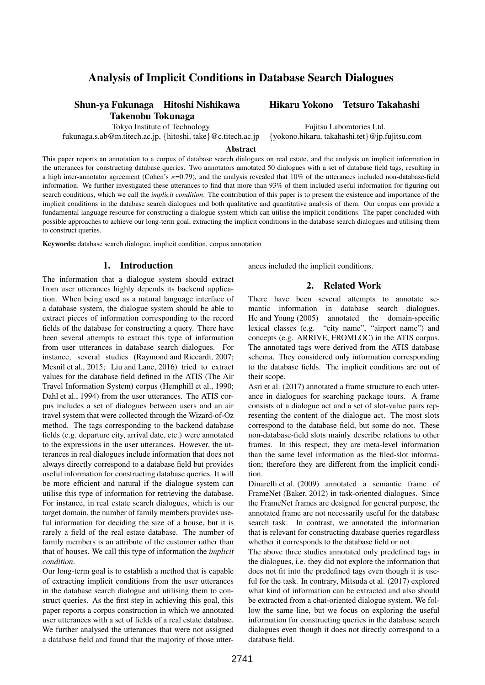# Analysis of Implicit Conditions in Database Search Dialogues

## Shun-ya Fukunaga Hitoshi Nishikawa Hikaru Yokono Tetsuro Takahashi Takenobu Tokunaga

fukunaga.s.ab@m.titech.ac.jp, *{*hitoshi, take*}*@c.titech.ac.jp *{*yokono.hikaru, takahashi.tet*}*@jp.fujitsu.com

Tokyo Institute of Technology Fujitsu Laboratories Ltd.

#### **Abstract**

This paper reports an annotation to a corpus of database search dialogues on real estate, and the analysis on implicit information in the utterances for constructing database queries. Two annotators annotated 50 dialogues with a set of database field tags, resulting in a high inter-annotator agreement (Cohen's *κ*=0.79), and the analysis revealed that 10% of the utterances included non-database-field information. We further investigated these utterances to find that more than 93% of them included useful information for figuring out search conditions, which we call the *implicit condition*. The contribution of this paper is to present the existence and importance of the implicit conditions in the database search dialogues and both qualitative and quantitative analysis of them. Our corpus can provide a fundamental language resource for constructing a dialogue system which can utilise the implicit conditions. The paper concluded with possible approaches to achieve our long-term goal, extracting the implicit conditions in the database search dialogues and utilising them to construct queries.

Keywords: database search dialogue, implicit condition, corpus annotation

## 1. Introduction

The information that a dialogue system should extract from user utterances highly depends its backend application. When being used as a natural language interface of a database system, the dialogue system should be able to extract pieces of information corresponding to the record fields of the database for constructing a query. There have been several attempts to extract this type of information from user utterances in database search dialogues. For instance, several studies (Raymond and Riccardi, 2007; Mesnil et al., 2015; Liu and Lane, 2016) tried to extract values for the database field defined in the ATIS (The Air Travel Information System) corpus (Hemphill et al., 1990; Dahl et al., 1994) from the user utterances. The ATIS corpus includes a set of dialogues between users and an air travel system that were collected through the Wizard-of-Oz method. The tags corresponding to the backend database fields (e.g. departure city, arrival date, etc.) were annotated to the expressions in the user utterances. However, the utterances in real dialogues include information that does not always directly correspond to a database field but provides useful information for constructing database queries. It will be more efficient and natural if the dialogue system can utilise this type of information for retrieving the database. For instance, in real estate search dialogues, which is our target domain, the number of family members provides useful information for deciding the size of a house, but it is rarely a field of the real estate database. The number of family members is an attribute of the customer rather than that of houses. We call this type of information the *implicit condition*.

Our long-term goal is to establish a method that is capable of extracting implicit conditions from the user utterances in the database search dialogue and utilising them to construct queries. As the first step in achieving this goal, this paper reports a corpus construction in which we annotated user utterances with a set of fields of a real estate database. We further analysed the utterances that were not assigned a database field and found that the majority of those utterances included the implicit conditions.

## 2. Related Work

There have been several attempts to annotate semantic information in database search dialogues. He and Young (2005) annotated the domain-specific lexical classes (e.g. "city name", "airport name") and concepts (e.g. ARRIVE, FROMLOC) in the ATIS corpus. The annotated tags were derived from the ATIS database schema. They considered only information corresponding to the database fields. The implicit conditions are out of their scope.

Asri et al. (2017) annotated a frame structure to each utterance in dialogues for searching package tours. A frame consists of a dialogue act and a set of slot-value pairs representing the content of the dialogue act. The most slots correspond to the database field, but some do not. These non-database-field slots mainly describe relations to other frames. In this respect, they are meta-level information than the same level information as the filed-slot information; therefore they are different from the implicit condition.

Dinarelli et al. (2009) annotated a semantic frame of FrameNet (Baker, 2012) in task-oriented dialogues. Since the FrameNet frames are designed for general purpose, the annotated frame are not necessarily useful for the database search task. In contrast, we annotated the information that is relevant for constructing database queries regardless whether it corresponds to the database field or not.

The above three studies annotated only predefined tags in the dialogues, i.e. they did not explore the information that does not fit into the predefined tags even though it is useful for the task. In contrary, Mitsuda et al. (2017) explored what kind of information can be extracted and also should be extracted from a chat-oriented dialogue system. We follow the same line, but we focus on exploring the useful information for constructing queries in the database search dialogues even though it does not directly correspond to a database field.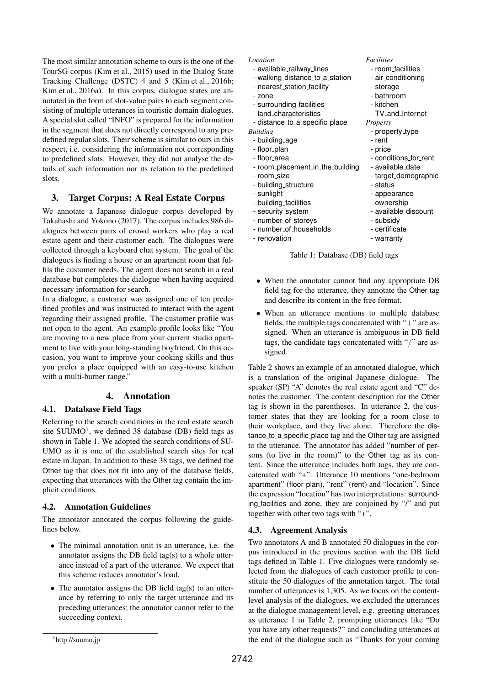The most similar annotation scheme to ours is the one of the TourSG corpus (Kim et al., 2015) used in the Dialog State Tracking Challenge (DSTC) 4 and 5 (Kim et al., 2016b; Kim et al., 2016a). In this corpus, dialogue states are annotated in the form of slot-value pairs to each segment consisting of multiple utterances in touristic domain dialogues. A special slot called "INFO" is prepared for the information in the segment that does not directly correspond to any predefined regular slots. Their scheme is similar to ours in this respect, i.e. considering the information not corresponding to predefined slots. However, they did not analyse the details of such information nor its relation to the predefined slots.

# 3. Target Corpus: A Real Estate Corpus

We annotate a Japanese dialogue corpus developed by Takahashi and Yokono (2017). The corpus includes 986 dialogues between pairs of crowd workers who play a real estate agent and their customer each. The dialogues were collected through a keyboard chat system. The goal of the dialogues is finding a house or an apartment room that fulfils the customer needs. The agent does not search in a real database but completes the dialogue when having acquired necessary information for search.

In a dialogue, a customer was assigned one of ten predefined profiles and was instructed to interact with the agent regarding their assigned profile. The customer profile was not open to the agent. An example profile looks like "You are moving to a new place from your current studio apartment to live with your long-standing boyfriend. On this occasion, you want to improve your cooking skills and thus you prefer a place equipped with an easy-to-use kitchen with a multi-burner range."

## 4. Annotation

### 4.1. Database Field Tags

Referring to the search conditions in the real estate search site SUUMO<sup>1</sup>, we defined 38 database (DB) field tags as shown in Table 1. We adopted the search conditions of SU-UMO as it is one of the established search sites for real estate in Japan. In addition to these 38 tags, we defined the Other tag that does not fit into any of the database fields, expecting that utterances with the Other tag contain the implicit conditions.

## 4.2. Annotation Guidelines

The annotator annotated the corpus following the guidelines below.

- *•* The minimal annotation unit is an utterance, i.e. the annotator assigns the DB field tag(s) to a whole utterance instead of a part of the utterance. We expect that this scheme reduces annotator's load.
- The annotator assigns the DB field tag(s) to an utterance by referring to only the target utterance and its preceding utterances; the annotator cannot refer to the succeeding context.

#### *Location Facilities*

- available railway lines room facilities
- walking\_distance\_to\_a\_station air\_conditioning
- nearest\_station\_facility entitled as a storage
- zone  $\overline{\phantom{a}}$  bathroom
- surrounding facilities kitchen
- land\_characteristics TV\_and\_Internet - distance to a specific place *Property*
- *Building*<br>
building\_age density property\_type building\_age density rent
- building\_age
- floor\_plan price
- floor area conditions for rent
- room\_placement\_in\_the\_building available\_date
- room\_size target\_demographic
- building\_structure status
- sunlight  $\qquad \qquad$  appearance
- building facilities ownership
- security\_system available\_discount
- number\_of\_storeys subsidy
- number\_of\_households certificate
- renovation example and the warranty

#### Table 1: Database (DB) field tags

- When the annotator cannot find any appropriate DB field tag for the utterance, they annotate the Other tag and describe its content in the free format.
- *•* When an utterance mentions to multiple database fields, the multiple tags concatenated with "+" are assigned. When an utterance is ambiguous in DB field tags, the candidate tags concatenated with "*/*" are assigned.

Table 2 shows an example of an annotated dialogue, which is a translation of the original Japanese dialogue. The speaker (SP) "A" denotes the real estate agent and "C" denotes the customer. The content description for the Other tag is shown in the parentheses. In utterance 2, the customer states that they are looking for a room close to their workplace, and they live alone. Therefore the distance to a specific place tag and the Other tag are assigned to the utterance. The annotator has added "number of persons (to live in the room)" to the Other tag as its content. Since the utterance includes both tags, they are concatenated with "+". Utterance 10 mentions "one-bedroom apartment" (floor\_plan), "rent" (rent) and "location". Since the expression "location" has two interpretations: surrounding facilities and zone, they are conjoined by "/" and put together with other two tags with "+".

### 4.3. Agreement Analysis

Two annotators A and B annotated 50 dialogues in the corpus introduced in the previous section with the DB field tags defined in Table 1. Five dialogues were randomly selected from the dialogues of each customer profile to constitute the 50 dialogues of the annotation target. The total number of utterances is 1,305. As we focus on the contentlevel analysis of the dialogues, we excluded the utterances at the dialogue management level, e.g. greeting utterances as utterance 1 in Table 2, prompting utterances like "Do you have any other requests?" and concluding utterances at the end of the dialogue such as "Thanks for your coming

<sup>1</sup> http://suumo.jp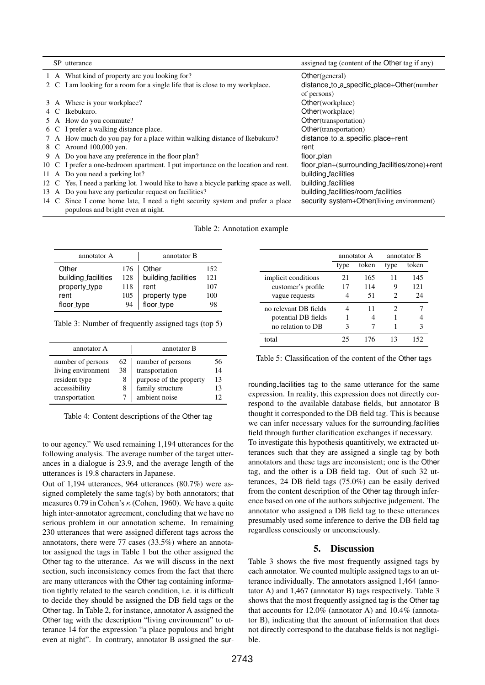|  | SP utterance                                                                          | assigned tag (content of the Other tag if any) |
|--|---------------------------------------------------------------------------------------|------------------------------------------------|
|  | 1 A What kind of property are you looking for?                                        | Other (general)                                |
|  | 2 C I am looking for a room for a single life that is close to my workplace.          | distance_to_a_specific_place+Other(number      |
|  |                                                                                       | of persons)                                    |
|  | 3 A Where is your workplace?                                                          | Other(workplace)                               |
|  | 4 C Ikebukuro.                                                                        | Other(workplace)                               |
|  | 5 A How do you commute?                                                               | Other(transportation)                          |
|  | 6 C I prefer a walking distance place.                                                | Other(transportation)                          |
|  | 7 A How much do you pay for a place within walking distance of Ikebukuro?             | distance_to_a_specific_place+rent              |
|  | 8 C Around 100,000 yen.                                                               | rent                                           |
|  | 9 A Do you have any preference in the floor plan?                                     | floor_plan                                     |
|  | 10 C I prefer a one-bedroom apartment. I put importance on the location and rent.     | floor_plan+(surrounding_facilities/zone)+rent  |
|  | 11 A Do you need a parking lot?                                                       | building_facilities                            |
|  | 12 C Yes, I need a parking lot. I would like to have a bicycle parking space as well. | building_facilities                            |
|  | 13 A Do you have any particular request on facilities?                                | building_facilities/room_facilities            |
|  | 14 C Since I come home late, I need a tight security system and prefer a place        | security_system+Other(living environment)      |
|  | populous and bright even at night.                                                    |                                                |

#### Table 2: Annotation example

| annotator A         |     | annotator B                 |     |  |
|---------------------|-----|-----------------------------|-----|--|
| Other               | 176 | Other                       | 152 |  |
| building_facilities | 128 | building_facilities         | 121 |  |
| property_type       | 118 | rent                        | 107 |  |
| rent                | 105 | property_type<br>floor_type | 100 |  |
| floor_type          | 94  |                             | 98  |  |

Table 3: Number of frequently assigned tags (top 5)

| annotator A        |    | annotator B             |    |  |
|--------------------|----|-------------------------|----|--|
| number of persons  | 62 | number of persons       | 56 |  |
| living environment | 38 | transportation          | 14 |  |
| resident type      | 8  | purpose of the property | 13 |  |
| accessibility      | 8  | family structure        | 13 |  |
| transportation     |    | ambient noise           |    |  |

Table 4: Content descriptions of the Other tag

to our agency." We used remaining 1,194 utterances for the following analysis. The average number of the target utterances in a dialogue is 23.9, and the average length of the utterances is 19.8 characters in Japanese.

Out of 1,194 utterances, 964 utterances (80.7%) were assigned completely the same tag(s) by both annotators; that measures 0.79 in Cohen's *κ* (Cohen, 1960). We have a quite high inter-annotator agreement, concluding that we have no serious problem in our annotation scheme. In remaining 230 utterances that were assigned different tags across the annotators, there were 77 cases (33.5%) where an annotator assigned the tags in Table 1 but the other assigned the Other tag to the utterance. As we will discuss in the next section, such inconsistency comes from the fact that there are many utterances with the Other tag containing information tightly related to the search condition, i.e. it is difficult to decide they should be assigned the DB field tags or the Other tag. In Table 2, for instance, annotator A assigned the Other tag with the description "living environment" to utterance 14 for the expression "a place populous and bright even at night". In contrary, annotator B assigned the sur-

|                       | annotator A |       | annotator B |       |
|-----------------------|-------------|-------|-------------|-------|
|                       | type        | token | type        | token |
| implicit conditions   | 21          | 165   | 11          | 145   |
| customer's profile    | 17          | 114   | 9           | 121   |
| vague requests        |             | 51    | 2           | 24    |
| no relevant DB fields |             | 11    | 2           |       |
| potential DB fields   |             |       |             |       |
| no relation to DB     | 3           |       |             |       |
| total                 | 25          | 176   | 13          | 152   |

Table 5: Classification of the content of the Other tags

rounding facilities tag to the same utterance for the same expression. In reality, this expression does not directly correspond to the available database fields, but annotator B thought it corresponded to the DB field tag. This is because we can infer necessary values for the surrounding facilities field through further clarification exchanges if necessary.

To investigate this hypothesis quantitively, we extracted utterances such that they are assigned a single tag by both annotators and these tags are inconsistent; one is the Other tag, and the other is a DB field tag. Out of such 32 utterances, 24 DB field tags (75.0%) can be easily derived from the content description of the Other tag through inference based on one of the authors subjective judgement. The annotator who assigned a DB field tag to these utterances presumably used some inference to derive the DB field tag regardless consciously or unconsciously.

#### 5. Discussion

Table 3 shows the five most frequently assigned tags by each annotator. We counted multiple assigned tags to an utterance individually. The annotators assigned 1,464 (annotator A) and 1,467 (annotator B) tags respectively. Table 3 shows that the most frequently assigned tag is the Other tag that accounts for 12.0% (annotator A) and 10.4% (annotator B), indicating that the amount of information that does not directly correspond to the database fields is not negligible.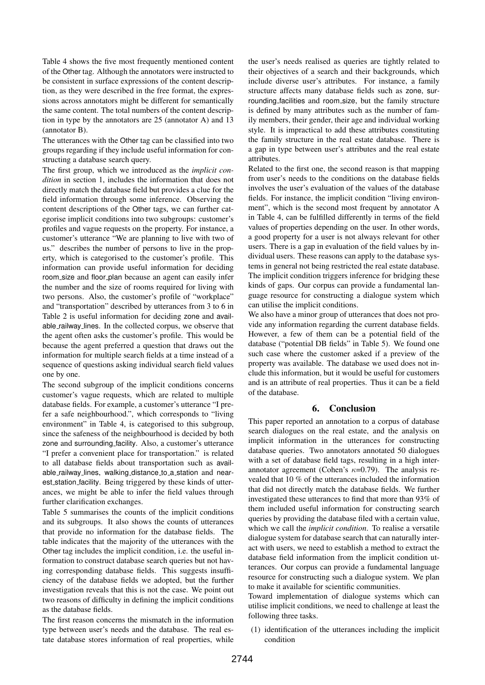Table 4 shows the five most frequently mentioned content of the Other tag. Although the annotators were instructed to be consistent in surface expressions of the content description, as they were described in the free format, the expressions across annotators might be different for semantically the same content. The total numbers of the content description in type by the annotators are 25 (annotator A) and 13 (annotator B).

The utterances with the Other tag can be classified into two groups regarding if they include useful information for constructing a database search query.

The first group, which we introduced as the *implicit condition* in section 1, includes the information that does not directly match the database field but provides a clue for the field information through some inference. Observing the content descriptions of the Other tags, we can further categorise implicit conditions into two subgroups: customer's profiles and vague requests on the property. For instance, a customer's utterance "We are planning to live with two of us." describes the number of persons to live in the property, which is categorised to the customer's profile. This information can provide useful information for deciding room size and floor plan because an agent can easily infer the number and the size of rooms required for living with two persons. Also, the customer's profile of "workplace" and "transportation" described by utterances from 3 to 6 in Table 2 is useful information for deciding zone and available railway lines. In the collected corpus, we observe that the agent often asks the customer's profile. This would be because the agent preferred a question that draws out the information for multiple search fields at a time instead of a sequence of questions asking individual search field values one by one.

The second subgroup of the implicit conditions concerns customer's vague requests, which are related to multiple database fields. For example, a customer's utterance "I prefer a safe neighbourhood.", which corresponds to "living environment" in Table 4, is categorised to this subgroup, since the safeness of the neighbourhood is decided by both zone and surrounding facility. Also, a customer's utterance "I prefer a convenient place for transportation." is related to all database fields about transportation such as available\_railway\_lines, walking\_distance\_to\_a\_station and nearest station facility. Being triggered by these kinds of utterances, we might be able to infer the field values through further clarification exchanges.

Table 5 summarises the counts of the implicit conditions and its subgroups. It also shows the counts of utterances that provide no information for the database fields. The table indicates that the majority of the utterances with the Other tag includes the implicit condition, i.e. the useful information to construct database search queries but not having corresponding database fields. This suggests insufficiency of the database fields we adopted, but the further investigation reveals that this is not the case. We point out two reasons of difficulty in defining the implicit conditions as the database fields.

The first reason concerns the mismatch in the information type between user's needs and the database. The real estate database stores information of real properties, while the user's needs realised as queries are tightly related to their objectives of a search and their backgrounds, which include diverse user's attributes. For instance, a family structure affects many database fields such as zone, surrounding facilities and room size, but the family structure is defined by many attributes such as the number of family members, their gender, their age and individual working style. It is impractical to add these attributes constituting the family structure in the real estate database. There is a gap in type between user's attributes and the real estate attributes.

Related to the first one, the second reason is that mapping from user's needs to the conditions on the database fields involves the user's evaluation of the values of the database fields. For instance, the implicit condition "living environment", which is the second most frequent by annotator A in Table 4, can be fulfilled differently in terms of the field values of properties depending on the user. In other words, a good property for a user is not always relevant for other users. There is a gap in evaluation of the field values by individual users. These reasons can apply to the database systems in general not being restricted the real estate database. The implicit condition triggers inference for bridging these kinds of gaps. Our corpus can provide a fundamental language resource for constructing a dialogue system which can utilise the implicit conditions.

We also have a minor group of utterances that does not provide any information regarding the current database fields. However, a few of them can be a potential field of the database ("potential DB fields" in Table 5). We found one such case where the customer asked if a preview of the property was available. The database we used does not include this information, but it would be useful for customers and is an attribute of real properties. Thus it can be a field of the database.

## 6. Conclusion

This paper reported an annotation to a corpus of database search dialogues on the real estate, and the analysis on implicit information in the utterances for constructing database queries. Two annotators annotated 50 dialogues with a set of database field tags, resulting in a high interannotator agreement (Cohen's *κ*=0.79). The analysis revealed that 10 % of the utterances included the information that did not directly match the database fields. We further investigated these utterances to find that more than 93% of them included useful information for constructing search queries by providing the database filed with a certain value, which we call the *implicit condition*. To realise a versatile dialogue system for database search that can naturally interact with users, we need to establish a method to extract the database field information from the implicit condition utterances. Our corpus can provide a fundamental language resource for constructing such a dialogue system. We plan to make it available for scientific communities.

Toward implementation of dialogue systems which can utilise implicit conditions, we need to challenge at least the following three tasks.

(1) identification of the utterances including the implicit condition